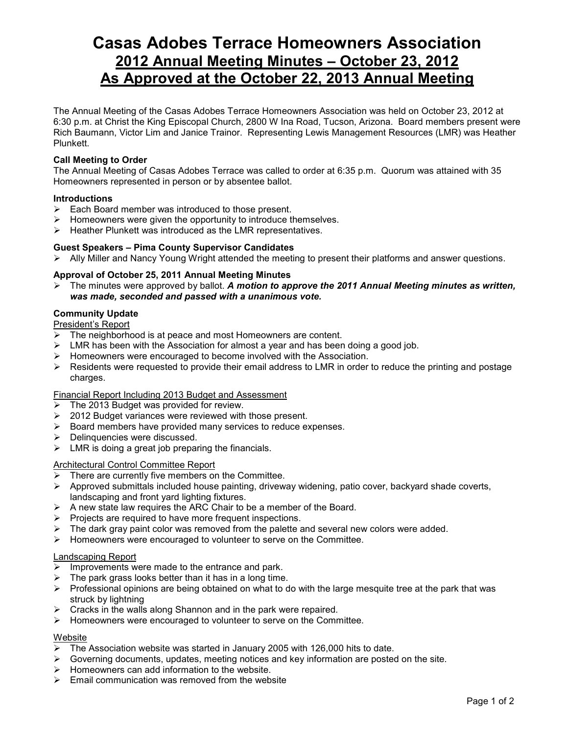# **Casas Adobes Terrace Homeowners Association 2012 Annual Meeting Minutes – October 23, 2012 As Approved at the October 22, 2013 Annual Meeting**

The Annual Meeting of the Casas Adobes Terrace Homeowners Association was held on October 23, 2012 at 6:30 p.m. at Christ the King Episcopal Church, 2800 W Ina Road, Tucson, Arizona. Board members present were Rich Baumann, Victor Lim and Janice Trainor. Representing Lewis Management Resources (LMR) was Heather Plunkett.

## **Call Meeting to Order**

The Annual Meeting of Casas Adobes Terrace was called to order at 6:35 p.m. Quorum was attained with 35 Homeowners represented in person or by absentee ballot.

## **Introductions**

- $\triangleright$  Each Board member was introduced to those present.
- Homeowners were given the opportunity to introduce themselves.
- $\triangleright$  Heather Plunkett was introduced as the LMR representatives.

## **Guest Speakers – Pima County Supervisor Candidates**

 $\triangleright$  Ally Miller and Nancy Young Wright attended the meeting to present their platforms and answer questions.

## **Approval of October 25, 2011 Annual Meeting Minutes**

 The minutes were approved by ballot. *A motion to approve the 2011 Annual Meeting minutes as written, was made, seconded and passed with a unanimous vote.*

## **Community Update**

President's Report

- $\triangleright$  The neighborhood is at peace and most Homeowners are content.
- $\triangleright$  LMR has been with the Association for almost a year and has been doing a good job.
- $\triangleright$  Homeowners were encouraged to become involved with the Association.
- Residents were requested to provide their email address to LMR in order to reduce the printing and postage charges.

## Financial Report Including 2013 Budget and Assessment

- $\triangleright$  The 2013 Budget was provided for review.
- 2012 Budget variances were reviewed with those present.
- $\triangleright$  Board members have provided many services to reduce expenses.
- $\triangleright$  Delinquencies were discussed.
- $\triangleright$  LMR is doing a great job preparing the financials.

## Architectural Control Committee Report

- $\triangleright$  There are currently five members on the Committee.
- $\triangleright$  Approved submittals included house painting, driveway widening, patio cover, backyard shade coverts, landscaping and front yard lighting fixtures.
- $\triangleright$  A new state law requires the ARC Chair to be a member of the Board.
- $\triangleright$  Projects are required to have more frequent inspections.
- $\triangleright$  The dark gray paint color was removed from the palette and several new colors were added.
- $\triangleright$  Homeowners were encouraged to volunteer to serve on the Committee.

## Landscaping Report

- $\triangleright$  Improvements were made to the entrance and park.
- $\triangleright$  The park grass looks better than it has in a long time.
- $\triangleright$  Professional opinions are being obtained on what to do with the large mesquite tree at the park that was struck by lightning
- $\triangleright$  Cracks in the walls along Shannon and in the park were repaired.
- $\triangleright$  Homeowners were encouraged to volunteer to serve on the Committee.

# **Website**

- $\triangleright$  The Association website was started in January 2005 with 126,000 hits to date.
- $\triangleright$  Governing documents, updates, meeting notices and key information are posted on the site.
- $\triangleright$  Homeowners can add information to the website.
- $\triangleright$  Fmail communication was removed from the website